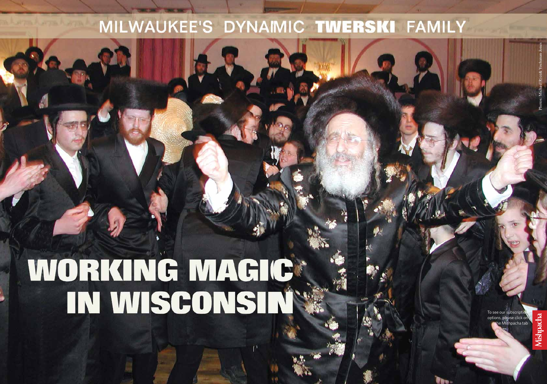### MILWAUKEE'S DYNAMIC TWERSKI FAMILY

## WORKING MAGIC

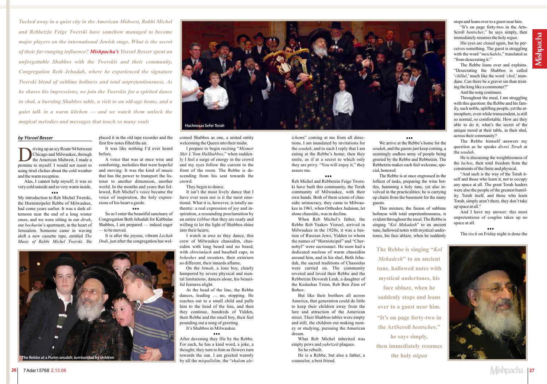### **by Yisroel Besser**

The priving up an icy Route 94 between<br>Thicago and Milwaukee, through<br>the American Midwest, I made a<br>promise to myself I would not resort to Chicago and Milwaukee, through the American Midwest, I made a promise to myself. I would not resort to using tired cliches about the cold weather and the warm reception.

Alas, I cannot help myself; it was so very cold outside and so very warm inside.

### z z z

My introduction to Reb Michel Twerski, the Hornisteipeler Rebbe of Milwaukee, had come years earlier. It was a dark afternoon near the end of a long winter *zman*, and we were sitting in our *dirah*, our *bochurim*'s apartment, in the heart of Jerusalem. Someone came in waving aloft a new cassette tape, entitled *The Music of Rabbi Michel Twerski*. He

placed it in the old tape recorder and the first few notes filled the air.

It was like nothing I'd ever heard before.

A voice that was at once wise and comforting, melodies that were hopeful and moving. It was the kind of music that has the power to transport the listener to another dimension, another world. In the months and years that followed, Reb Michel's voice became the voice of inspiration, the holy expressions of his heart a guide.

### z z z

So as I enter the beautiful sanctuary of Congregation Beth Jehudah for Kabbalas Shabbos, I am prepared — indeed eager — to be moved.

It is after the joyous, vibrant *Lechah Dodi*, just after the congregation has welcomed Shabbos as one, a united entity welcoming the Queen into their midst.

I prepare to begin reciting "*Mizmor Shir L'Yom HaShabbos*," when suddenly I feel a surge of energy in the crowd and my eyes follow the current to the front of the room. The Rebbe is descending from his seat towards the crowd.

They begin to dance.

It isn't the most lively dance that I have ever seen nor is it the most emotional. What it is, however, is totally authentic: a real expression of joy and inspiration, a resounding proclamation by an entire *tzibbur* that they are ready and willing to let the light of Shabbos shine into their hearts.

I watch in awe as they dance, this crew of Milwaukee chassidim, chassidim with long beard and no beard, with *shtreimlach* and baseball caps, in *bekeshes* and sweaters, their exteriors so different, their innards aflame.

On the *bimah*, a lone boy, clearly hampered by severe physical and mental limitations, dances alone, his beautiful features alight.

At the head of the line, the Rebbe dances, leading … no, stopping. He reaches out to a small child and pulls him to the head of the line, and then they continue, hundreds of Yidden, their Rebbe and the small boy, their feet pounding out a song of greeting.

It's Shabbos in Milwaukee.

z z z

After davening they file by the Rebbe. For each, he has a kind word, a joke, a thought; they turn to him as flowers turn towards the sun. I am greeted warmly by all the *mispallelim*, the "*shalom ale-*



*Tucked away in a quiet city in the American Midwest, Rabbi Michel and Rebbetzin Feige Twerski have somehow managed to become major players on the international Jewish stage. What is the secret of their far-ranging influence? Mishpacha's Yisroel Besser spent an unforgettable Shabbos with the Twerskis and their community, Congregation Beth Jehudah, where he experienced the signature Twerski blend of sublime holiness and total unpretentiousness. As he shares his impressions, we join the Twerskis for a spirited dance in shul, a bursting Shabbos table, a visit to an old-age home, and a quiet talk in a warm kitchen — and we watch them unlock the magical melodies and messages that touch so many souls*



# **Hachnosas Sefer Torah**

*ichem*s" coming at me from all directions. I am inundated by invitations for the *seudah*, and to each I reply that I am eating at the Rebbe's home; then they smile, as if at a secret to which only they are privy. "You will enjoy it," they assure me.

 $\cdots$ 

Reb Michel and Rebbetzin Feige Twers-

ki have built this community, the Torah community of Milwaukee, with their own hands. Both of them scions of chassidic aristocracy, they came to Milwaukee in 1961, when Orthodox Judaism, let alone chassidic, was in decline.

When Reb Michel's father, the Rebbe Reb Yaakov Yisroel, arrived in Milwaukee in the 1920s, it was a bastion of Russian Jews, Yidden to whom the names of "Hornisteipel" and "Chernobyl" were sacrosanct. He soon had a dedicated nucleus of warm chassidim around him, and in his shul, Beth Jehudah, the sacred traditions of Chassidus were carried on. The community revered and loved their Rebbe and the Rebbetzin Devorah Leah, a daughter of the Kedushas Tzion, Reb Ben Zion of Bobov.

But like their brothers all across America, that generation could do little to keep their children away from the lure and attraction of the American street. Their Shabbos tables were empty and still, the children out making money or studying, pursuing the American dream.

What Reb Michel inherited was empty pews and *yahrtzeit* plaques. So he rebuilt.

He is a Rebbe, but also a father, a counselor, a best friend.

### z z z

We arrive at the Rebbe's home for the *seudah*, and the guests just keep coming, a seemingly endless array of people being greeted by the Rebbe and Rebbetzin. The Rebbetzin makes each feel welcome, special, honored.

The Rebbe is at once engrossed in the loftiest of tasks, preparing the wine bottles, humming a holy tune, yet also involved in the practicalities; he is carrying up chairs from the basement for the many

guests.

This mixture, the fusion of sublime holiness with total unpretentiousness, is evident throughout the meal. The Rebbe is singing "*Kol Mekadesh*" to an ancient tune, hallowed notes with mystical undertones, his face ablaze, when he suddenly stops and leans over to a guest near him.

"It's on page forty-two in the Arts-Scroll *bentscher*," he says simply, then immediately resumes the holy *nigun*.

His eyes are closed again, but he perceives something. The guest is struggling with the word "*meichalelo*," translated as "from desecrating it."

The Rebbe leans over and explains. "Desecrating the Shabbos is called '*chillul*,' much like the word '*chol*,' mundane. Can there be a graver sin than treating the king like a commoner?"

And the song continues.

Throughout the meal, I am struggling with this question: the Rebbe and his family, such noble, uplifting people, yet the atmosphere, even while transcendent, is still so normal, so comfortable. How are they able to do it; what's the secret of the unique mood at their table, in their shul, across their community?

The Rebbe himself answers my question as he speaks *divrei Torah* at the *seudah*.

He is discussing the weightlessness of the *luchos*, their total freedom from the constraints of the finite and physical.

"And such is the way of the Torah itself and those who learn it, not to occupy any space at all. The great Torah leaders were also the people of the greatest humility. Torah itself, and those who learn Torah, simply aren't there, they don't take up space at all."

And I have my answer: this most unpretentious of couples takes up no space at all.

z z z

The *tisch* on Friday night is done the



**The Rebbe is singing "***Kol Mekadesh***" to an ancient tune, hallowed notes with mystical undertones, his face ablaze, when he suddenly stops and leans over to a guest near him. "It's on page forty-two in the ArtScroll** *bentscher***," he says simply, then immediately resumes**

**the holy** *nigun*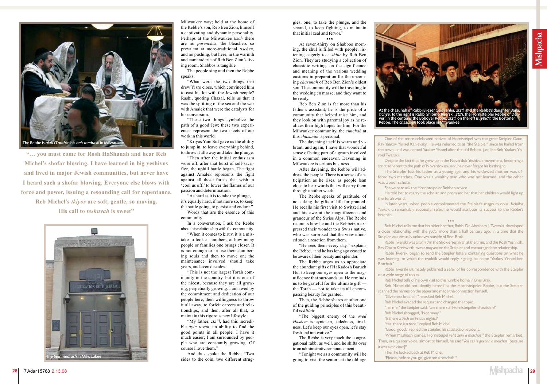gles; one, to take the plunge, and the second, to keep fighting, to maintain that initial zeal and fervor."

### $0.00$

At seven-thirty on Shabbos morning, the shul is filled with people, listening eagerly to a *shiur* by Reb Ben Zion. They are studying a collection of chassidic writings on the significance and meaning of the various wedding customs in preparation for the upcoming *chasunah* of Reb Ben Zion's oldest son. The community will be traveling to the wedding en masse, and they want to be ready.

Reb Ben Zion is far more than his father's assistant; he is the pride of a community that helped raise him, and they look on with parental joy as he realizes their high hopes for him. For the Milwaukee community, the *simchah* at this *chasunah* is personal.

The davening itself is warm and vibrant, and again, I have that wonderful sense of being part of a group involved in a common endeavor. Davening in Milwaukee is serious business.

After davening, the Rebbe will address the people. There is a sense of anticipation as he rises, as people lean close to hear words that will carry them through another week.

The Rebbe speaks of gratitude, of not taking the gifts of life for granted. He recalls his first visit to Switzerland and his awe at the magnificence and grandeur of the Swiss Alps. The Rebbe recounts how he and the Rebbetzin expressed their wonder to a Swiss native, who was surprised that the view elicited such a reaction from them.

"He sees them every day," explains the Rebbe, "and he has long ago ceased to be aware of their beauty and splendor."

In later years, when people complimented the Steipler's magnum opus, Kehillos Yaakov, a remarkably successful sefer, he would attribute its success to the Rebbe's

### $\mathbf{A}$

The Rebbe urges us to appreciate the abundant gifts of HaKadosh Baruch Hu, to keep our eyes open to the magnificence that surrounds us. He reminds us to be grateful for the ultimate gift the Torah — not to take its all encompassing beauty for granted.

Then, the Rebbe shares another one of the guiding principles of this beautiful *kehillah*:

"The biggest enemy of the *oved Hashem* is cynicism, jadedness, tiredness. Let's keep our eyes open, let's stay fresh and innovative."

The Rebbe is very much the congregational rabbi as well, and he shifts over to an administrative announcement.

"Tonight we as a community will be going to visit the seniors at the old-age

One of the more celebrated natives of Hornisteipel was the great Steipler Gaon, Rav Yaakov Yisrael Kanievsky. He was referred to as "the Steipler" since he hailed from the town, and was named Yaakov Yisrael after the old Rebbe, just like Reb Yaakov Yis-

Despite the fact that he grew up in the Novardok Yeshivah movement, becoming a strict adherent to the path of Novardok mussar, he never forgot his birthright.

roel Twerski. was a poor scholar. the Torah world.

The Steipler lost his father at a young age, and his widowed mother was offered two matches. One was a wealthy man who was not learned, and the other

She went to ask the Hornisteipeler Rebbe's advice.

He told her to marry the scholar, and promised her that her children would light up

brachah.

Reb Michel tells me that his older brother, Rabbi Dr. Abraham J. Twerski, developed a close relationship with the gadol more than a half century ago, in a time that the Steipler was virtually unknown outside of Bnei Brak.

Rabbi Twerski was a talmid in the Skokie Yeshivah at the time, and the Rosh Yeshivah, Rav Chaim Kreiswirth, was a mayven on the Steipler and encouraged the relationship.

Rabbi Twerski began to send the Steipler letters containing questions on what he was learning, to which the tzaddik would reply, signing his name "Yaakov Yisrael ben

Brachah."

Rabbi Twerski ultimately published a sefer of his correspondence with the Steipler

on a wide range of topics.

Reb Michel tells of his own visit to the humble home in Bnei Brak.

Reb Michel did not identify himself as the Hornisteipeler Rebbe, but the Steipler scanned the names on the paper and made the connection himself.

"Give me a brachah," he asked Reb Michel. Reb Michel evaded the request and changed the topic. "Tell me," the Steipler said, "are there still Hornisteipeler chassidim?" Reb Michel shrugged, "Not many." "Is there a tisch on Friday nights?" "Yes, there is a tisch," replied Reb Michel. "Good, good," replied the Steipler, his satisfaction evident. "When Mashiach comes, Hornisteipel veht zein a malchus," the Steipler remarked. Then, in a quieter voice, almost to himself, he said "Veil ess iz gevehn a malchus [because] it was a malchus]!"

Then he looked back at Reb Michel. "Please, before you go, give me a brachah."



Milwaukee way; held at the home of the Rebbe's son, Reb Ben Zion, himself a captivating and dynamic personality. Perhaps at the Milwaukee *tisch* there are no *parenches*, the bleachers so prevalent at more-traditional *tischen*, and no pushing, but here, in the warmth and camaraderie of Reb Ben Zion's living room, Shabbos is tangible.

The people sing and then the Rebbe speaks.

"What were the two things that drew Yisro close, which convinced him to cast his lot with the Jewish people? Rashi, quoting Chazal, tells us that it was the splitting of the sea and the war with Amalek that were the catalysts for his conversion.

"These two things symbolize the path of a good Jew; these two experiences represent the two facets of our work in this world.

"Kriyas Yam Suf gave us the ability to jump in, to leave everything behind, to throw it all away and take the plunge.

"Then after the initial enthusiasm wore off, after that burst of self-sacrifice, the uphill battle began. The fight against Amalek represents the fight against all those forces that wish to 'cool us off,' to lower the flames of our passion and determination.

"As hard as it is to take the plunge, it's equally hard, if not more so, to keep the battle going, to persist and endure."

Words that are the essence of this community.

In a conversation, I ask the Rebbe about his relationship with the community.

"When it comes to kiruv, it is a mistake to look at numbers, at how many people or families one brings closer. It is not enough to arouse their slumbering souls and then to move on; the maintenance involved should take years, and even decades.

"This is not the largest Torah community in the country, but it is one of the nicest, because they are all growing, perpetually growing. I am awed by the commitment and dedication of our people here, their willingness to throw it all away, to forfeit careers and relationships, and then, after all that, to maintain this rigorous new lifestyle.

"My father, *ztz"l*, had this incredible *ayin tovah*, an ability to find the good points in all people. I have it much easier; I am surrounded by people who are constantly growing. Of course I love them."

And thus spoke the Rebbe, "Two sides to the coin, two different strug-

**"… you must come for Rosh HaShanah and hear Reb Michel's shofar blowing. I have learned in big yeshivos and lived in major Jewish communities, but never have I heard such a shofar blowing. Everyone else blows with force and power, issuing a resounding call for repentance. Reb Michel's** *tkiyos* **are soft, gentle, so moving.**

**His call to** *teshuvah* **is sweet"**



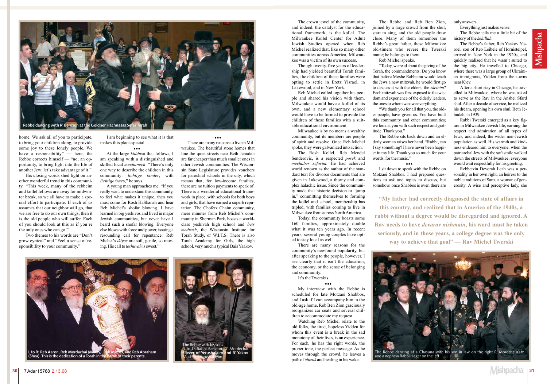The crown jewel of the community, and indeed, the catalyst for the educational framework, is the kollel. The Milwaukee Kollel Center for Adult Jewish Studies opened when Reb Michel realized that, like so many other communities across America, Milwaukee was a victim of its own success.

Though twenty-five years of leadership had yielded beautiful Torah families, the children of these families were opting to settle in Eretz Yisrael, in Lakewood, and in New York.

Reb Michel called together his people and shared his vision with them. Milwaukee would have a kollel of its own, and a new elementary school would have to be formed to provide the children of these families with a suitable educational environment.

Milwaukee is by no means a wealthy community, but its members are people of spirit and resolve. Once Reb Michel spoke, they were galvanized into action.

The Rosh Kollel, Reb Mendel Senderovic, is a respected *posek* and *mechaber seforim*. He had achieved world renown as the author of the standard text for divorce documents that are given in Lakewood, a thorny and complex halachic issue. Since the community made that historic decision to "jump in," committing themselves to forming the kollel and school, membership has tripled, with families coming to live in Milwaukee from across North America.

Today, the community boasts some 160 families, approximately double what it was ten years ago. In recent years, several young couples have opted to stay local as well.

There are many reasons for the community's newfound popularity, but after speaking to the people, however, I see clearly that it isn't the education, the economy, or the sense of belonging and community.

It's the Twerskis.

### z z z

My interview with the Rebbe is scheduled for late Motzaei Shabbos, and I ask if I can accompany him to the old-age home. Reb Ben Zion graciously reorganizes car seats and several children to accommodate my request.

Watching Reb Michel relate to the old folks, the tired, hopeless Yidden for whom this event is a break in the sad monotony of their lives, is an experience. For each, he has the right words, the proper tone, the perfect message. As he moves through the crowd, he leaves a path of *chizuk* and healing in his wake.

The Rebbe and Reb Ben Zion, joined by a large crowd from the shul, start to sing, and the old people draw close. Many of them remember the Rebbe's great father, these Milwaukee old-timers who revere the Twerski name; he belongs to them. Reb Michel speaks.

"Today, we read about the giving of the Torah, the commandments. Do you know that before Moshe Rabbeinu would teach the Jews a new mitzvah, he would first go to discuss it with the elders, the *zkeinim*? Each mitzvah was first exposed to the wisdom and experience of the elderly leaders, the ones to whom we owe everything.

I am beginning to see what it is that makes this place special.  $\bullet\bullet\bullet$ 

"We thank you for all that you, the older people, have given us. You have built this community and other communities; we look at you with such respect and gratitude. Thank you."

The Rebbe sits back down and an elderly woman raises her hand. "Rabbi, can I say something? I have never been happier in my life. Thank you so much for your words, for the music."

I sit down to speak with the Rebbe on Motzaei Shabbos. I had prepared questions to ask and topics to discuss, but somehow, once Shabbos is over, there are only answers.

Everything just makes sense.

The Rebbe tells me a little bit of the history of the *kehillah*.

The Rebbe's father, Reb Yaakov Yisroel, son of Reb Leibele of Hornisteipel, arrived in New York in the 1920s, and quickly realized that he wasn't suited to the big city. He travelled to Chicago, where there was a large group of Ukrainian immigrants, Yidden from the towns near Kiev.

After a short stay in Chicago, he travelled to Milwaukee, where he was asked to serve as the Rav in the Anshei Sfard shul. After a decade of service, he realized his dream, opening his own shul, Beth Jehudah, in 1939.

Rabbi Twerski emerged as a key figure in Milwaukee Jewish life, earning the respect and admiration of all types of Jews, and indeed, the wider non-Jewish population as well. His warmth and kindness endeared him to everyone; when the patriarchal Jew with the soft smile walked down the streets of Milwaukee, everyone would wait respectfully for his greeting.

Rebbetzin Devorah Leah was a personality in her own right, an heiress to the noble traditions of Sanz, a woman of generosity. A wise and perceptive lady, she

**"My father had correctly diagnosed the state of affairs in this country, and realized that in America of the 1940s, a rabbi without a degree would be disregarded and ignored. A Rav needs to have** *devarav nishmain***, his word must be taken seriously, and in those years, a college degree was the only way to achieve that goal" — Rav Michel Twerski**



and a nephew Rabbi Hager on the left

home. We ask all of you to participate, to bring your children along, to provide some joy to these lonely people. We have a responsibility" — here, the Rebbe corrects himself — "no, an opportunity, to bring light into the life of another Jew; let's take advantage of it."

His closing words shed light on another wonderful trend in this community. "This week, many of the rebbeim and kollel fellows are away for midwinter break, so we all have to make a special effort to participate. If each of us assumes that our neighbor will go, that we are free to do our own things, then it is the old people who will suffer. Each of you should look at this as if you're the only ones who can go."

Two themes to his words are "Don't grow cynical" and "Feel a sense of responsibility to your community."

At the large *kiddush* that follows, I am speaking with a distinguished and skilled local *mechanech*. "There's only one way to describe the children in this community: *lichtige kinder*, with *lichtige* faces," he says.

A young man approaches me. "If you really want to understand this community, to feel what makes it unique, then you must come for Rosh HaShanah and hear Reb Michel's shofar blowing. I have learned in big yeshivos and lived in major Jewish communities, but never have I heard such a shofar blowing. Everyone else blows with force and power, issuing a resounding call for repentance. Reb Michel's *tkiyos* are soft, gentle, so moving. His call to *teshuvah* is sweet."

 $...$ 

There are many reasons to live in Milwaukee. The beautiful stone homes that line the quiet streets near Beth Jehudah are far cheaper than much smaller ones in other Jewish communities. The Wisconsin State Legislature provides vouchers for parochial schools in the city, which means that, for low-income families, there are no tuition payments to speak of. There is a wonderful educational framework in place, with schools for both boys and girls, that have earned a superb reputation. The Chofetz Chaim community, mere minutes from Reb Michel's community in Sherman Park, boasts a worldclass yeshivah high school and *beis medrash*, the Wisconsin Institute for Torah Study, or W.I.T.S. There is also Torah Academy for Girls, the high school, very much a typical Bais Yaakov.

### $...$



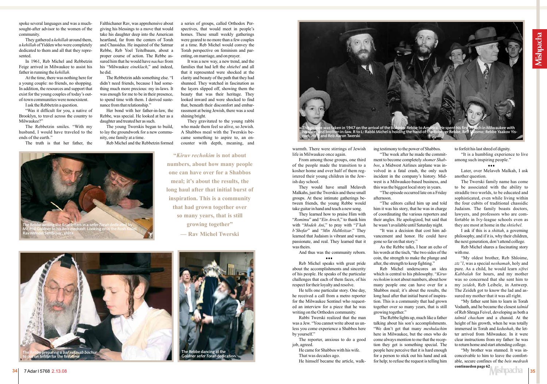warmth. There were stirrings of Jewish life in Milwaukee once again.

From among those groups, one third of the people made the transition to a kosher home and over half of them registered their young children in the Jewish day school.

They would have small Melaveh Malkahs, just the Twerskis and these small groups. At these intimate gatherings between friends, the young Rebbe would take guitar in hand and teach a new song.

And thus was the community reborn. ...

They learned how to praise Him with "*Romimu*" and "*Ein Aroch*," to thank him with "*Modeh Ani*," to pray with "*T'kah b'Shofar*" and "*Min HaMeitzar*." They learned that Judaism is vibrant and warm, passionate, and real. They learned that it was theirs.

Reb Michel speaks with great pride about the accomplishments and sincerity of his people. He speaks of the particular challenges that each of them faces, of his respect for their loyalty and resolve.

He tells one particular story. One day, he received a call from a metro reporter for the Milwaukee Sentinel who requested an interview for a piece that he was writing on the Orthodox community.

Rabbi Twerski realized that the man was a Jew. "You cannot write about us unless you come experience a Shabbos here by yourself."

The reporter, anxious to do a good job, agreed.

He came for Shabbos with his wife. That was decades ago.

He himself became the article, walk-

ing testimony to the power of Shabbos. ment to become completely *shomer Shabbos*, a Midwest Airlines airplane was involved in a fatal crash, the only such incident in the company's history. Midthis was the biggest local story in years.

"The week after he made the commitwest is a Milwaukee-based business, and "The episode occurred late on a Friday

afternoon.

"The editors called him up and told him it was his story, that he was in charge of coordinating the various reporters and their angles. He apologized, but said that he wasn't available until Saturday night.

"It was a decision that cost him advancement and honor. He could have gone so far on that story."

As the Rebbe talks, I hear an echo of his words at the tisch, "the two sides of the coin, the strength to make the plunge and after, the strength to keep fighting."

> "My brother was stunned. It was inconceivable to him to leave the comfortable, secure confines of the *beis medrash* **continuedon page 62** ishpacha

Reb Michel underscores an idea which is central to his philosophy. "*Kiruv rechokim* is not about numbers, about how many people one can have over for a Shabbos meal; it's about the results, the long haul after that initial burst of inspiration. This is a community that had grown together over so many years, that is still growing together."

The Rebbe lights up, much like a father talking about his son's accomplishments. "We don't get that many *meshulachim* here in Milwaukee, but the ones who do come always mention to me that the reception they get is something special. The people here perceive that it is hard enough for a person to stick out his hand and ask for help; to refuse the request is telling him

to forfeit his last shred of dignity.

"It is a humbling experience to live among such inspiring people."

### $\bullet\bullet\bullet$

Later, over Melaveh Malkah, I ask another question.

The Twerski family name has come to be associated with the ability to straddle two worlds, to be educated and sophisticated, even while living within the four cubits of traditional chassidic Judaism. The family boasts doctors, lawyers, and professors who are comfortable in Ivy-league schools even as they are most at home in the *shtiebel*.

I ask if this is a *shittah*, a governing philosophy, and if it is, why their children, the next generation, don't attend college.

Reb Michel shares a fascinating story with me.

"My oldest brother, Reb Shloime, *ztz"l*, was a special *neshamah*, holy and pure. As a child, he would learn *sifrei Kabbalah* for hours, and my mother was so concerned that she sent him to my *zeideh*, Reb Leibele, in Antwerp. The Zeideh got to know the lad and assured my mother that it was all right.

"My father sent him to learn in Torah Vodaath, and he became the closest *talmid* of Reb Shraga Feivel, developing as both a *talmid chacham* and a chassid. At the height of his growth, when he was totally immersed in Torah and *kedushah*, the letter arrived from Milwaukee. In it were clear instructions from my father: he was to return home and start attending college.





spoke several languages and was a muchsought-after advisor to the women of the community.

They gathered a *kehillah* around them, a *kehillah* of Yidden who were completely dedicated to them and all that they represented.

In 1961, Reb Michel and Rebbetzin Feige arrived in Milwaukee to assist his father in running the *kehillah*.

At the time, there was nothing here for a young couple: no friends, no shopping. In addition, the resources and support that exist for the young couples of today's outof-town communities were nonexistent.

I ask the Rebbetzin a question.

"Was it difficult for you, a native of Brooklyn, to travel across the country to Milwaukee?"

The Rebbetzin smiles. "With my husband, I would have traveled to the ends of the earth."

The truth is that her father, the

Falthichaner Rav, was apprehensive about giving his blessings to a move that would take his daughter deep into the American heartland, far from the centers of Torah and Chassidus. He inquired of the Satmar Rebbe, Reb Yoel Teitelbaum, about a proper course of action. The Rebbe assured him that he would have *nachas* from his "Milwaukee *eineklach*," and indeed, he did.

The Rebbetzin adds something else. "I didn't need friends, because I had something much more precious: my in-laws. It was enough for me to be in their presence, to spend time with them. I derived sustenance from that relationship."

Her bond with her father-in-law, the Rebbe, was special. He looked at her as a daughter and treated her as such.

The young Twerskis began to build, to lay the groundwork for a new community, one family at a time.

Reb Michel and the Rebbetzin formed

a series of groups, called Orthodox Perspectives, that would meet in people's homes. These small weekly gatherings were geared to no more than a few couples at a time. Reb Michel would convey the Torah perspective on feminism and parenting, on marriage, and on prayer.

It was a new way, a new trend, and the families that had left the *shtiebel* and all that it represented were shocked at the clarity and beauty of the path that they had shunned. They watched in fascination as the layers slipped off, showing them the beauty that was their heritage. They looked inward and were shocked to find that, beneath their discomfort and embarrassment at being Jewish, there was a soul shining bright.

They gravitated to the young rabbi who made them feel so alive, so Jewish. A Shabbos meal with the Twerskis became something to aspire to, an encounter with depth, meaning, and

**"***Kiruv rechokim* **is not about numbers, about how many people one can have over for a Shabbos meal; it's about the results, the long haul after that initial burst of inspiration. This is a community that had grown together over so many years, that is still growing together" — Rav Michel Twerski**





and Reb Aaron Twerski